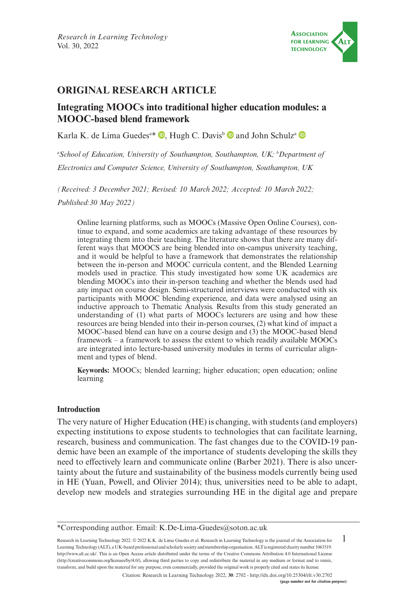

# **ORIGINAL RESEARCH ARTICLE**

# **Integrating MOOCs into traditional higher education modules: a MOOC-based blend framework**

KarlaK. de Lima Guedes<sup>a\*</sup> <sup>1</sup>, Hugh C. Davis<sup>b</sup> <sup>1</sup> and John Schulz<sup>a</sup>

<sup>a</sup> School of Education, University of Southampton, Southampton, UK; <sup>b</sup> Department of *Electronics and Computer Science, University of Southampton, Southampton, UK*

*(Received: 3 December 2021; Revised: 10 March 2022; Accepted: 10 March 2022;* 

*Published:30 May 2022)*

Online learning platforms, such as MOOCs (Massive Open Online Courses), continue to expand, and some academics are taking advantage of these resources by integrating them into their teaching. The literature shows that there are many different ways that MOOCS are being blended into on-campus university teaching, and it would be helpful to have a framework that demonstrates the relationship between the in-person and MOOC curricula content, and the Blended Learning models used in practice. This study investigated how some UK academics are blending MOOCs into their in-person teaching and whether the blends used had any impact on course design. Semi-structured interviews were conducted with six participants with MOOC blending experience, and data were analysed using an inductive approach to Thematic Analysis. Results from this study generated an understanding of (1) what parts of MOOCs lecturers are using and how these resources are being blended into their in-person courses, (2) what kind of impact a MOOC-based blend can have on a course design and (3) the MOOC-based blend framework – a framework to assess the extent to which readily available MOOCs are integrated into lecture-based university modules in terms of curricular alignment and types of blend.

**Keywords:** MOOCs; blended learning; higher education; open education; online learning

## **Introduction**

The very nature of Higher Education (HE) is changing, with students (and employers) expecting institutions to expose students to technologies that can facilitate learning, research, business and communication. The fast changes due to the COVID-19 pandemic have been an example of the importance of students developing the skills they need to effectively learn and communicate online (Barber 2021). There is also uncertainty about the future and sustainability of the business models currently being used in HE (Yuan, Powell, and Olivier 2014); thus, universities need to be able to adapt, develop new models and strategies surrounding HE in the digital age and prepare

1 Research in Learning Technology 2022. © 2022 K.K. de Lima Guedes et al. Research in Learning Technology is the journal of the Association for Learning Technology (ALT), a UK-based professional and scholarly society and membership organisation. ALT is registered charity number 1063519. [http://www.alt.ac.uk/.](http://www.alt.ac.uk/) This is an Open Access article distributed under the terms of the Creative Commons Attribution 4.0 International License (<http://creativecommons.org/licenses/by/4.0/>), allowing third parties to copy and redistribute the material in any medium or format and to remix, transform, and build upon the material for any purpose, even commercially, provided the original work is properly cited and states its license.

Citation: Research in Learning Technology 2022, **30**: 2702 - <http://dx.doi.org/10.25304/rlt.v30.2702>

<sup>\*</sup>Corresponding author. Email: [K.De-Lima-Guedes@soton.ac.uk](mailto:K.De-Lima-Guedes@soton.ac.uk)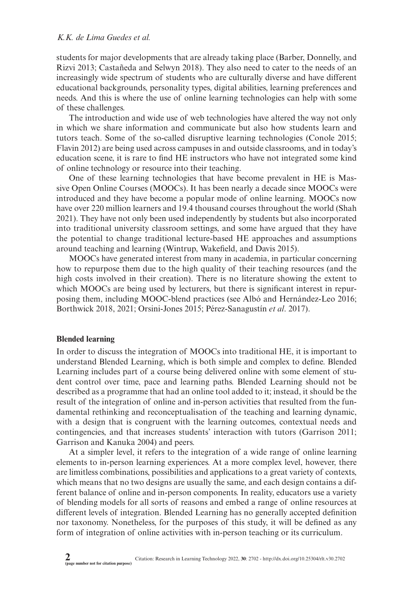students for major developments that are already taking place (Barber, Donnelly, and Rizvi 2013; Castañeda and Selwyn 2018). They also need to cater to the needs of an increasingly wide spectrum of students who are culturally diverse and have different educational backgrounds, personality types, digital abilities, learning preferences and needs. And this is where the use of online learning technologies can help with some of these challenges.

The introduction and wide use of web technologies have altered the way not only in which we share information and communicate but also how students learn and tutors teach. Some of the so-called disruptive learning technologies (Conole 2015; Flavin 2012) are being used across campuses in and outside classrooms, and in today's education scene, it is rare to find HE instructors who have not integrated some kind of online technology or resource into their teaching.

One of these learning technologies that have become prevalent in HE is Massive Open Online Courses (MOOCs). It has been nearly a decade since MOOCs were introduced and they have become a popular mode of online learning. MOOCs now have over 220 million learners and 19.4 thousand courses throughout the world (Shah 2021). They have not only been used independently by students but also incorporated into traditional university classroom settings, and some have argued that they have the potential to change traditional lecture-based HE approaches and assumptions around teaching and learning (Wintrup, Wakefield, and Davis 2015).

MOOCs have generated interest from many in academia, in particular concerning how to repurpose them due to the high quality of their teaching resources (and the high costs involved in their creation). There is no literature showing the extent to which MOOCs are being used by lecturers, but there is significant interest in repurposing them, including MOOC-blend practices (see Albó and Hernández-Leo 2016; Borthwick 2018, 2021; Orsini-Jones 2015; Pérez-Sanagustín *et al*. 2017).

#### **Blended learning**

In order to discuss the integration of MOOCs into traditional HE, it is important to understand Blended Learning, which is both simple and complex to define. Blended Learning includes part of a course being delivered online with some element of student control over time, pace and learning paths. Blended Learning should not be described as a programme that had an online tool added to it; instead, it should be the result of the integration of online and in-person activities that resulted from the fundamental rethinking and reconceptualisation of the teaching and learning dynamic, with a design that is congruent with the learning outcomes, contextual needs and contingencies, and that increases students' interaction with tutors (Garrison 2011; Garrison and Kanuka 2004) and peers.

At a simpler level, it refers to the integration of a wide range of online learning elements to in-person learning experiences. At a more complex level, however, there are limitless combinations, possibilities and applications to a great variety of contexts, which means that no two designs are usually the same, and each design contains a different balance of online and in-person components. In reality, educators use a variety of blending models for all sorts of reasons and embed a range of online resources at different levels of integration. Blended Learning has no generally accepted definition nor taxonomy. Nonetheless, for the purposes of this study, it will be defined as any form of integration of online activities with in-person teaching or its curriculum.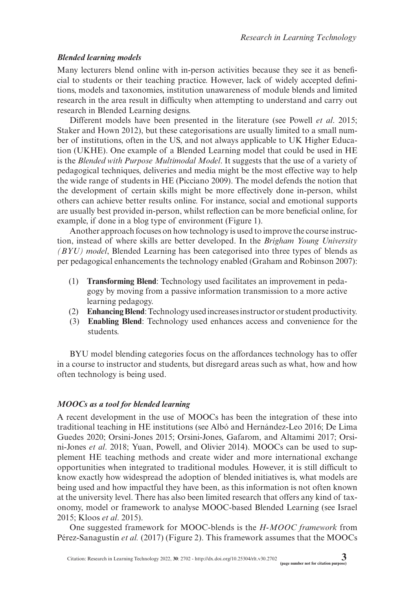## *Blended learning models*

Many lecturers blend online with in-person activities because they see it as beneficial to students or their teaching practice. However, lack of widely accepted definitions, models and taxonomies, institution unawareness of module blends and limited research in the area result in difficulty when attempting to understand and carry out research in Blended Learning designs.

Different models have been presented in the literature (see Powell *et al*. 2015; Staker and Hown 2012), but these categorisations are usually limited to a small number of institutions, often in the US, and not always applicable to UK Higher Education (UKHE). One example of a Blended Learning model that could be used in HE is the *Blended with Purpose Multimodal Model*. It suggests that the use of a variety of pedagogical techniques, deliveries and media might be the most effective way to help the wide range of students in HE (Picciano 2009). The model defends the notion that the development of certain skills might be more effectively done in-person, whilst others can achieve better results online. For instance, social and emotional supports are usually best provided in-person, whilst reflection can be more beneficial online, for example, if done in a blog type of environment (Figure 1).

Another approach focuses on how technology is used to improve the course instruction, instead of where skills are better developed. In the *Brigham Young University (BYU) model*, Blended Learning has been categorised into three types of blends as per pedagogical enhancements the technology enabled (Graham and Robinson 2007):

- (1) **Transforming Blend**: Technology used facilitates an improvement in pedagogy by moving from a passive information transmission to a more active learning pedagogy.
- (2) **Enhancing Blend**: Technology used increases instructor or student productivity.
- (3) **Enabling Blend**: Technology used enhances access and convenience for the students.

BYU model blending categories focus on the affordances technology has to offer in a course to instructor and students, but disregard areas such as what, how and how often technology is being used.

## *MOOCs as a tool for blended learning*

A recent development in the use of MOOCs has been the integration of these into traditional teaching in HE institutions (see Albó and Hernández-Leo 2016; De Lima Guedes 2020; Orsini-Jones 2015; Orsini-Jones, Gafarom, and Altamimi 2017; Orsini-Jones *et al*. 2018; Yuan, Powell, and Olivier 2014). MOOCs can be used to supplement HE teaching methods and create wider and more international exchange opportunities when integrated to traditional modules. However, it is still difficult to know exactly how widespread the adoption of blended initiatives is, what models are being used and how impactful they have been, as this information is not often known at the university level. There has also been limited research that offers any kind of taxonomy, model or framework to analyse MOOC-based Blended Learning (see Israel 2015; Kloos *et al*. 2015).

One suggested framework for MOOC-blends is the *H-MOOC framework* from Pérez-Sanagustín *et al.* (2017) (Figure 2). This framework assumes that the MOOCs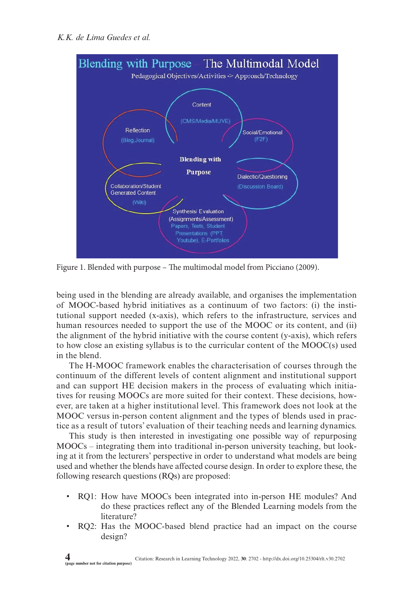

Figure 1. Blended with purpose – The multimodal model from Picciano (2009).

being used in the blending are already available, and organises the implementation of MOOC-based hybrid initiatives as a continuum of two factors: (i) the institutional support needed (x-axis), which refers to the infrastructure, services and human resources needed to support the use of the MOOC or its content, and (ii) the alignment of the hybrid initiative with the course content (y-axis), which refers to how close an existing syllabus is to the curricular content of the MOOC(s) used in the blend.

The H-MOOC framework enables the characterisation of courses through the continuum of the different levels of content alignment and institutional support and can support HE decision makers in the process of evaluating which initiatives for reusing MOOCs are more suited for their context. These decisions, however, are taken at a higher institutional level. This framework does not look at the MOOC versus in-person content alignment and the types of blends used in practice as a result of tutors' evaluation of their teaching needs and learning dynamics.

This study is then interested in investigating one possible way of repurposing MOOCs – integrating them into traditional in-person university teaching, but looking at it from the lecturers' perspective in order to understand what models are being used and whether the blends have affected course design. In order to explore these, the following research questions (RQs) are proposed:

- RQ1: How have MOOCs been integrated into in-person HE modules? And do these practices reflect any of the Blended Learning models from the literature?
- RQ2: Has the MOOC-based blend practice had an impact on the course design?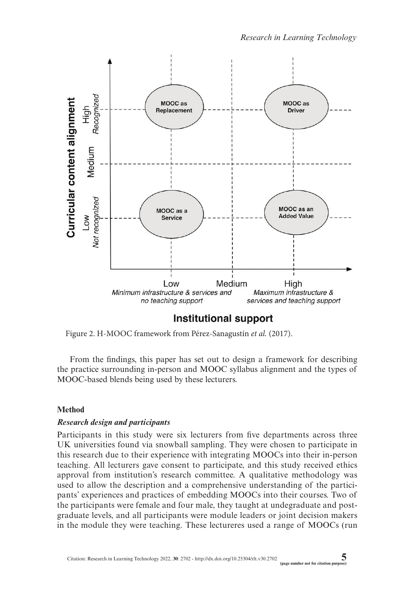

# Institutional support

Figure 2. H-MOOC framework from Pérez-Sanagustín *et al.* (2017).

From the findings, this paper has set out to design a framework for describing the practice surrounding in-person and MOOC syllabus alignment and the types of MOOC-based blends being used by these lecturers.

## **Method**

## *Research design and participants*

Participants in this study were six lecturers from five departments across three UK universities found via snowball sampling. They were chosen to participate in this research due to their experience with integrating MOOCs into their in-person teaching. All lecturers gave consent to participate, and this study received ethics approval from institution's research committee. A qualitative methodology was used to allow the description and a comprehensive understanding of the participants' experiences and practices of embedding MOOCs into their courses. Two of the participants were female and four male, they taught at undegraduate and postgraduate levels, and all participants were module leaders or joint decision makers in the module they were teaching. These lectureres used a range of MOOCs (run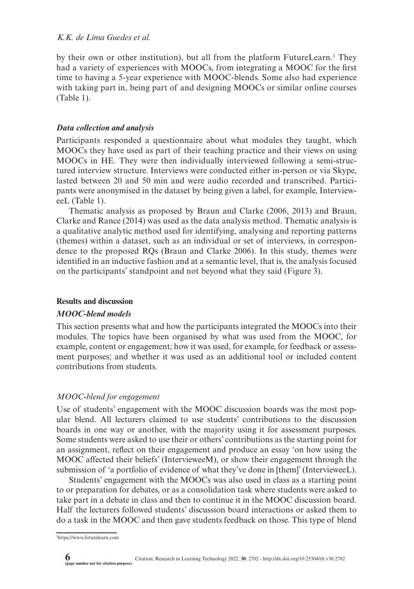by their own or other institution), but all from the platform FutureLearn.<sup>1</sup> They had a variety of experiences with MOOCs, from integrating a MOOC for the first time to having a 5-year experience with MOOC-blends. Some also had experience with taking part in, being part of and designing MOOCs or similar online courses (Table 1).

## *Data collection and analysis*

Participants responded a questionnaire about what modules they taught, which MOOCs they have used as part of their teaching practice and their views on using MOOCs in HE. They were then individually interviewed following a semi-structured interview structure. Interviews were conducted either in-person or via Skype, lasted between 20 and 50 min and were audio recorded and transcribed. Participants were anonymised in the dataset by being given a label, for example, IntervieweeL (Table 1).

Thematic analysis as proposed by Braun and Clarke (2006, 2013) and Braun, Clarke and Rance (2014) was used as the data analysis method. Thematic analysis is a qualitative analytic method used for identifying, analysing and reporting patterns (themes) within a dataset, such as an individual or set of interviews, in correspondence to the proposed RQs (Braun and Clarke 2006). In this study, themes were identified in an inductive fashion and at a semantic level, that is, the analysis focused on the participants' standpoint and not beyond what they said (Figure 3).

## **Results and discussion**

## *MOOC-blend models*

This section presents what and how the participants integrated the MOOCs into their modules. The topics have been organised by what was used from the MOOC, for example, content or engagement; how it was used, for example, for feedback or assessment purposes; and whether it was used as an additional tool or included content contributions from students.

## *MOOC-blend for engagement*

Use of students' engagement with the MOOC discussion boards was the most popular blend. All lecturers claimed to use students' contributions to the discussion boards in one way or another, with the majority using it for assessment purposes. Some students were asked to use their or others' contributions as the starting point for an assignment, reflect on their engagement and produce an essay 'on how using the MOOC affected their beliefs' (IntervieweeM), or show their engagement through the submission of 'a portfolio of evidence of what they've done in [them]' (IntervieweeL).

Students' engagement with the MOOCs was also used in class as a starting point to or preparation for debates, or as a consolidation task where students were asked to take part in a debate in class and then to continue it in the MOOC discussion board. Half the lecturers followed students' discussion board interactions or asked them to do a task in the MOOC and then gave students feedback on those. This type of blend

<sup>1</sup> <https://www.futurelearn.com>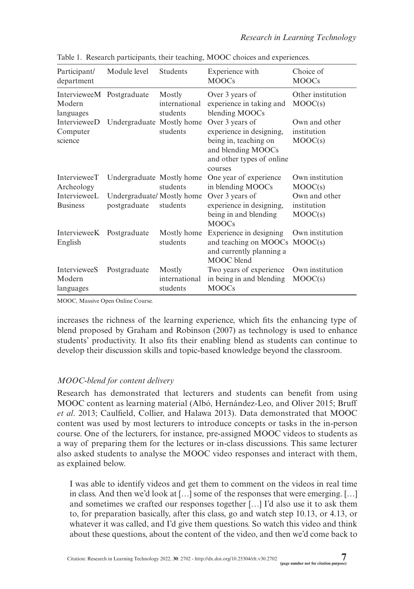| Participant/<br>department                       | Module level                              | Students                            | Experience with<br><b>MOOCs</b>                                                                                                    | Choice of<br><b>MOOCs</b>               |
|--------------------------------------------------|-------------------------------------------|-------------------------------------|------------------------------------------------------------------------------------------------------------------------------------|-----------------------------------------|
| IntervieweeM Postgraduate<br>Modern<br>languages |                                           | Mostly<br>international<br>students | Over 3 years of<br>experience in taking and<br>blending MOOCs                                                                      | Other institution<br>MOOC(s)            |
| IntervieweeD<br>Computer<br>science              | Undergraduate Mostly home                 | students                            | Over 3 years of<br>experience in designing,<br>being in, teaching on<br>and blending MOOCs<br>and other types of online<br>courses | Own and other<br>institution<br>MOOC(s) |
| <b>IntervieweeT</b><br>Archeology                | Undergraduate Mostly home                 | students                            | One year of experience<br>in blending MOOCs                                                                                        | Own institution<br>MOOC(s)              |
| IntervieweeL<br><b>Business</b>                  | Undergraduate/Mostly home<br>postgraduate | students                            | Over 3 years of<br>experience in designing,<br>being in and blending<br><b>MOOCs</b>                                               | Own and other<br>institution<br>MOOC(s) |
| IntervieweeK Postgraduate<br>English             |                                           | Mostly home<br>students             | Experience in designing<br>and teaching on MOOCs MOOC(s)<br>and currently planning a<br>MOOC blend                                 | Own institution                         |
| <b>IntervieweeS</b><br>Modern<br>languages       | Postgraduate                              | Mostly<br>international<br>students | Two years of experience.<br>in being in and blending<br><b>MOOCs</b>                                                               | Own institution<br>MOOC(s)              |

Table 1. Research participants, their teaching, MOOC choices and experiences.

MOOC, Massive Open Online Course.

increases the richness of the learning experience, which fits the enhancing type of blend proposed by Graham and Robinson (2007) as technology is used to enhance students' productivity. It also fits their enabling blend as students can continue to develop their discussion skills and topic-based knowledge beyond the classroom.

## *MOOC-blend for content delivery*

Research has demonstrated that lecturers and students can benefit from using MOOC content as learning material (Albó, Hernández-Leo, and Oliver 2015; Bruff *et al*. 2013; Caulfield, Collier, and Halawa 2013). Data demonstrated that MOOC content was used by most lecturers to introduce concepts or tasks in the in-person course. One of the lecturers, for instance, pre-assigned MOOC videos to students as a way of preparing them for the lectures or in-class discussions. This same lecturer also asked students to analyse the MOOC video responses and interact with them, as explained below.

I was able to identify videos and get them to comment on the videos in real time in class. And then we'd look at […] some of the responses that were emerging. […] and sometimes we crafted our responses together […] I'd also use it to ask them to, for preparation basically, after this class, go and watch step 10.13, or 4.13, or whatever it was called, and I'd give them questions. So watch this video and think about these questions, about the content of the video, and then we'd come back to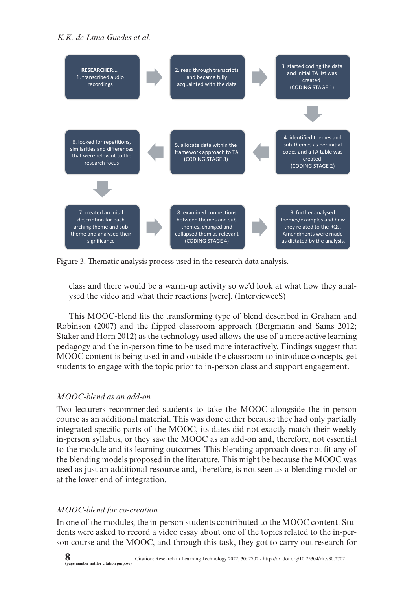

Figure 3. Thematic analysis process used in the research data analysis.

class and there would be a warm-up activity so we'd look at what how they analysed the video and what their reactions [were]. (IntervieweeS)

This MOOC-blend fits the transforming type of blend described in Graham and Robinson (2007) and the flipped classroom approach (Bergmann and Sams 2012; Staker and Horn 2012) as the technology used allows the use of a more active learning pedagogy and the in-person time to be used more interactively. Findings suggest that MOOC content is being used in and outside the classroom to introduce concepts, get students to engage with the topic prior to in-person class and support engagement.

## *MOOC-blend as an add-on*

Two lecturers recommended students to take the MOOC alongside the in-person course as an additional material. This was done either because they had only partially integrated specific parts of the MOOC, its dates did not exactly match their weekly in-person syllabus, or they saw the MOOC as an add-on and, therefore, not essential to the module and its learning outcomes. This blending approach does not fit any of the blending models proposed in the literature. This might be because the MOOC was used as just an additional resource and, therefore, is not seen as a blending model or at the lower end of integration.

## *MOOC-blend for co-creation*

In one of the modules, the in-person students contributed to the MOOC content. Students were asked to record a video essay about one of the topics related to the in-person course and the MOOC, and through this task, they got to carry out research for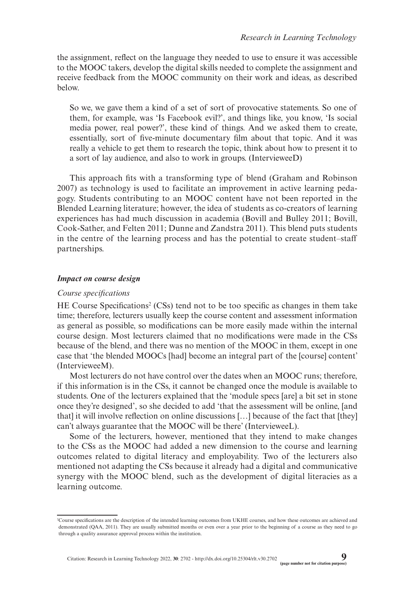the assignment, reflect on the language they needed to use to ensure it was accessible to the MOOC takers, develop the digital skills needed to complete the assignment and receive feedback from the MOOC community on their work and ideas, as described below.

So we, we gave them a kind of a set of sort of provocative statements. So one of them, for example, was 'Is Facebook evil?', and things like, you know, 'Is social media power, real power?', these kind of things. And we asked them to create, essentially, sort of five-minute documentary film about that topic. And it was really a vehicle to get them to research the topic, think about how to present it to a sort of lay audience, and also to work in groups. (IntervieweeD)

This approach fits with a transforming type of blend (Graham and Robinson 2007) as technology is used to facilitate an improvement in active learning pedagogy. Students contributing to an MOOC content have not been reported in the Blended Learning literature; however, the idea of students as co-creators of learning experiences has had much discussion in academia (Bovill and Bulley 2011; Bovill, Cook-Sather, and Felten 2011; Dunne and Zandstra 2011). This blend puts students in the centre of the learning process and has the potential to create student–staff partnerships.

#### *Impact on course design*

#### *Course specifications*

HE Course Specifications<sup>2</sup> (CSs) tend not to be too specific as changes in them take time; therefore, lecturers usually keep the course content and assessment information as general as possible, so modifications can be more easily made within the internal course design. Most lecturers claimed that no modifications were made in the CSs because of the blend, and there was no mention of the MOOC in them, except in one case that 'the blended MOOCs [had] become an integral part of the [course] content' (IntervieweeM).

Most lecturers do not have control over the dates when an MOOC runs; therefore, if this information is in the CSs, it cannot be changed once the module is available to students. One of the lecturers explained that the 'module specs [are] a bit set in stone once they're designed', so she decided to add 'that the assessment will be online, [and that] it will involve reflection on online discussions […] because of the fact that [they] can't always guarantee that the MOOC will be there' (IntervieweeL).

Some of the lecturers, however, mentioned that they intend to make changes to the CSs as the MOOC had added a new dimension to the course and learning outcomes related to digital literacy and employability. Two of the lecturers also mentioned not adapting the CSs because it already had a digital and communicative synergy with the MOOC blend, such as the development of digital literacies as a learning outcome.

<sup>2</sup> Course specifications are the description of the intended learning outcomes from UKHE courses, and how these outcomes are achieved and demonstrated (QAA, 2011). They are usually submitted months or even over a year prior to the beginning of a course as they need to go through a quality assurance approval process within the institution.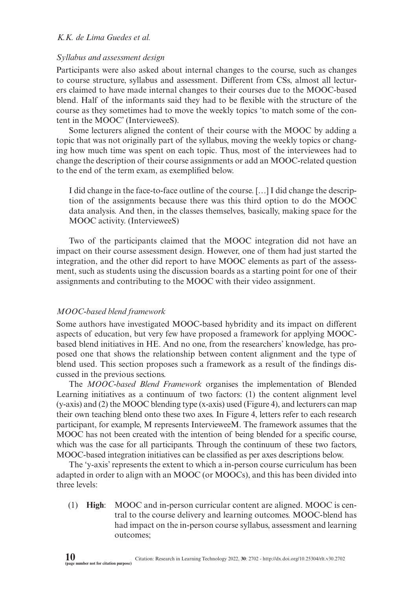#### *Syllabus and assessment design*

Participants were also asked about internal changes to the course, such as changes to course structure, syllabus and assessment. Different from CSs, almost all lecturers claimed to have made internal changes to their courses due to the MOOC-based blend. Half of the informants said they had to be flexible with the structure of the course as they sometimes had to move the weekly topics 'to match some of the content in the MOOC' (IntervieweeS).

Some lecturers aligned the content of their course with the MOOC by adding a topic that was not originally part of the syllabus, moving the weekly topics or changing how much time was spent on each topic. Thus, most of the interviewees had to change the description of their course assignments or add an MOOC-related question to the end of the term exam, as exemplified below.

I did change in the face-to-face outline of the course. […] I did change the description of the assignments because there was this third option to do the MOOC data analysis. And then, in the classes themselves, basically, making space for the MOOC activity. (IntervieweeS)

Two of the participants claimed that the MOOC integration did not have an impact on their course assessment design. However, one of them had just started the integration, and the other did report to have MOOC elements as part of the assessment, such as students using the discussion boards as a starting point for one of their assignments and contributing to the MOOC with their video assignment.

## *MOOC-based blend framework*

Some authors have investigated MOOC-based hybridity and its impact on different aspects of education, but very few have proposed a framework for applying MOOCbased blend initiatives in HE. And no one, from the researchers' knowledge, has proposed one that shows the relationship between content alignment and the type of blend used. This section proposes such a framework as a result of the findings discussed in the previous sections.

The *MOOC-based Blend Framework* organises the implementation of Blended Learning initiatives as a continuum of two factors: (1) the content alignment level (y-axis) and (2) the MOOC blending type (x-axis) used (Figure 4), and lecturers can map their own teaching blend onto these two axes. In Figure 4, letters refer to each research participant, for example, M represents IntervieweeM. The framework assumes that the MOOC has not been created with the intention of being blended for a specific course, which was the case for all participants. Through the continuum of these two factors, MOOC-based integration initiatives can be classified as per axes descriptions below.

The 'y-axis' represents the extent to which a in-person course curriculum has been adapted in order to align with an MOOC (or MOOCs), and this has been divided into three levels:

(1) **High**:MOOC and in-person curricular content are aligned. MOOC is central to the course delivery and learning outcomes. MOOC-blend has had impact on the in-person course syllabus, assessment and learning outcomes;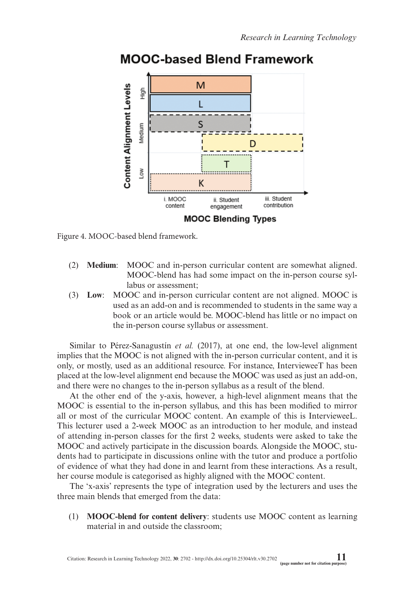

# **MOOC-based Blend Framework**

Figure 4. MOOC-based blend framework.

- (2) **Medium**:MOOC and in-person curricular content are somewhat aligned. MOOC-blend has had some impact on the in-person course syllabus or assessment;
- (3) **Low**:MOOC and in-person curricular content are not aligned. MOOC is used as an add-on and is recommended to students in the same way a book or an article would be. MOOC-blend has little or no impact on the in-person course syllabus or assessment.

Similar to Pérez-Sanagustín *et al.* (2017), at one end, the low-level alignment implies that the MOOC is not aligned with the in-person curricular content, and it is only, or mostly, used as an additional resource. For instance, IntervieweeT has been placed at the low-level alignment end because the MOOC was used as just an add-on, and there were no changes to the in-person syllabus as a result of the blend.

At the other end of the y-axis, however, a high-level alignment means that the MOOC is essential to the in-person syllabus, and this has been modified to mirror all or most of the curricular MOOC content. An example of this is IntervieweeL. This lecturer used a 2-week MOOC as an introduction to her module, and instead of attending in-person classes for the first 2 weeks, students were asked to take the MOOC and actively participate in the discussion boards. Alongside the MOOC, students had to participate in discussions online with the tutor and produce a portfolio of evidence of what they had done in and learnt from these interactions. As a result, her course module is categorised as highly aligned with the MOOC content.

The 'x-axis' represents the type of integration used by the lecturers and uses the three main blends that emerged from the data:

(1) **MOOC-blend for content delivery**: students use MOOC content as learning material in and outside the classroom;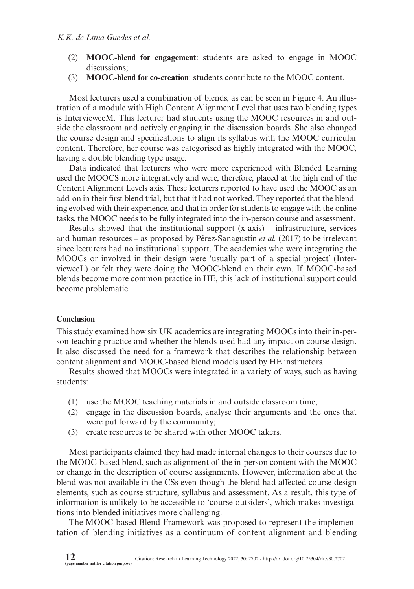- (2) **MOOC-blend for engagement**: students are asked to engage in MOOC discussions:
- (3) **MOOC-blend for co-creation**: students contribute to the MOOC content.

Most lecturers used a combination of blends, as can be seen in Figure 4. An illustration of a module with High Content Alignment Level that uses two blending types is IntervieweeM. This lecturer had students using the MOOC resources in and outside the classroom and actively engaging in the discussion boards. She also changed the course design and specifications to align its syllabus with the MOOC curricular content. Therefore, her course was categorised as highly integrated with the MOOC, having a double blending type usage.

Data indicated that lecturers who were more experienced with Blended Learning used the MOOCS more integratively and were, therefore, placed at the high end of the Content Alignment Levels axis. These lecturers reported to have used the MOOC as an add-on in their first blend trial, but that it had not worked. They reported that the blending evolved with their experience, and that in order for students to engage with the online tasks, the MOOC needs to be fully integrated into the in-person course and assessment.

Results showed that the institutional support  $(x-axis)$  – infrastructure, services and human resources – as proposed by Pérez-Sanagustín *et al.* (2017) to be irrelevant since lecturers had no institutional support. The academics who were integrating the MOOCs or involved in their design were 'usually part of a special project' (IntervieweeL) or felt they were doing the MOOC-blend on their own. If MOOC-based blends become more common practice in HE, this lack of institutional support could become problematic.

## **Conclusion**

This study examined how six UK academics are integrating MOOCs into their in-person teaching practice and whether the blends used had any impact on course design. It also discussed the need for a framework that describes the relationship between content alignment and MOOC-based blend models used by HE instructors.

Results showed that MOOCs were integrated in a variety of ways, such as having students:

- (1) use the MOOC teaching materials in and outside classroom time;
- (2) engage in the discussion boards, analyse their arguments and the ones that were put forward by the community;
- (3) create resources to be shared with other MOOC takers.

Most participants claimed they had made internal changes to their courses due to the MOOC-based blend, such as alignment of the in-person content with the MOOC or change in the description of course assignments. However, information about the blend was not available in the CSs even though the blend had affected course design elements, such as course structure, syllabus and assessment. As a result, this type of information is unlikely to be accessible to 'course outsiders', which makes investigations into blended initiatives more challenging.

The MOOC-based Blend Framework was proposed to represent the implementation of blending initiatives as a continuum of content alignment and blending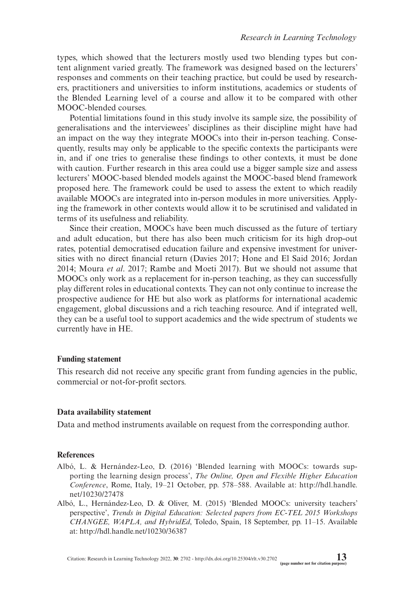types, which showed that the lecturers mostly used two blending types but content alignment varied greatly. The framework was designed based on the lecturers' responses and comments on their teaching practice, but could be used by researchers, practitioners and universities to inform institutions, academics or students of the Blended Learning level of a course and allow it to be compared with other MOOC-blended courses.

Potential limitations found in this study involve its sample size, the possibility of generalisations and the interviewees' disciplines as their discipline might have had an impact on the way they integrate MOOCs into their in-person teaching. Consequently, results may only be applicable to the specific contexts the participants were in, and if one tries to generalise these findings to other contexts, it must be done with caution. Further research in this area could use a bigger sample size and assess lecturers' MOOC-based blended models against the MOOC-based blend framework proposed here. The framework could be used to assess the extent to which readily available MOOCs are integrated into in-person modules in more universities. Applying the framework in other contexts would allow it to be scrutinised and validated in terms of its usefulness and reliability.

Since their creation, MOOCs have been much discussed as the future of tertiary and adult education, but there has also been much criticism for its high drop-out rates, potential democratised education failure and expensive investment for universities with no direct financial return (Davies 2017; Hone and El Said 2016; Jordan 2014; Moura *et al*. 2017; Rambe and Moeti 2017). But we should not assume that MOOCs only work as a replacement for in-person teaching, as they can successfully play different roles in educational contexts. They can not only continue to increase the prospective audience for HE but also work as platforms for international academic engagement, global discussions and a rich teaching resource. And if integrated well, they can be a useful tool to support academics and the wide spectrum of students we currently have in HE.

## **Funding statement**

This research did not receive any specific grant from funding agencies in the public, commercial or not-for-profit sectors.

## **Data availability statement**

Data and method instruments available on request from the corresponding author.

## **References**

- Albó, L. & Hernández-Leo, D. (2016) 'Blended learning with MOOCs: towards supporting the learning design process', *The Online, Open and Flexible Higher Education Conference*, Rome, Italy, 19–21 October, pp. 578–588. Available at: [http://hdl.handle.](http://hdl.handle.net/10230/27478) [net/10230/27478](http://hdl.handle.net/10230/27478)
- Albó, L., Hernández-Leo, D. & Oliver, M. (2015) 'Blended MOOCs: university teachers' perspective', *Trends in Digital Education: Selected papers from EC-TEL 2015 Workshops CHANGEE, WAPLA, and HybridEd*, Toledo, Spain, 18 September, pp. 11–15. Available at: <http://hdl.handle.net/10230/36387>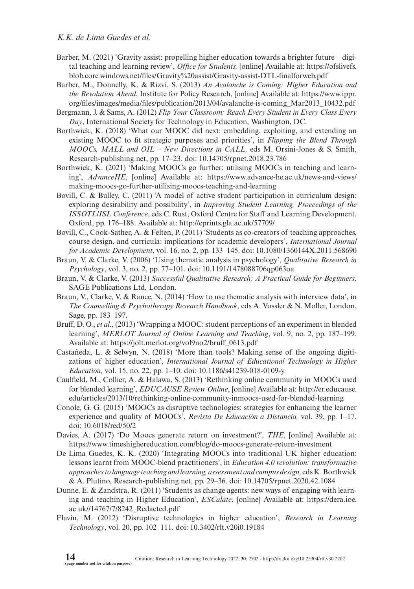- Barber, M. (2021) 'Gravity assist: propelling higher education towards a brighter future digital teaching and learning review', *Office for Students,* [online] Available at: [https://ofslivefs.](https://ofslivefs.blob.core.windows.net/files/Gravity%20assist/Gravity-assist-DTL-finalforweb.pdf) [blob.core.windows.net/files/Gravity%20assist/Gravity-assist-DTL-finalforweb.pdf](https://ofslivefs.blob.core.windows.net/files/Gravity%20assist/Gravity-assist-DTL-finalforweb.pdf)
- Barber, M., Donnelly, K. & Rizvi, S. (2013) *An Avalanche is Coming: Higher Education and the Revolution Ahead*, Institute for Policy Research, [online] Available at: [https://www.ippr.](https://www.ippr.org/files/images/media/files/publication/2013/04/avalanche-is-coming_Mar2013_10432.pdf) [org/files/images/media/files/publication/2013/04/avalanche-is-coming\\_Mar2013\\_10432.pdf](https://www.ippr.org/files/images/media/files/publication/2013/04/avalanche-is-coming_Mar2013_10432.pdf)
- Bergmann, J. & Sams, A. (2012) *Flip Your Classroom: Reach Every Student in Every Class Every Day*, International Society for Technology in Education, Washington, DC.
- Borthwick, K. (2018) 'What our MOOC did next: embedding, exploiting, and extending an existing MOOC to fit strategic purposes and priorities', in *Flipping the Blend Through MOOCs, MALL and OIL – New Directions in CALL,* eds M. Orsini-Jones & S. Smith, Research-publishing.net, pp. 17–23. [doi: 10.14705/rpnet.2018.23.786](http://dx.doi.org/10.14705/rpnet.2018.23.786)
- Borthwick, K. (2021) 'Making MOOCs go further: utilising MOOCs in teaching and learning', *AdvanceHE*, [online] Available at: [https://www.advance-he.ac.uk/news-and-views/](https://www.advance-he.ac.uk/news-and-views/making-moocs-go-further-utilising-moocs-teaching-and-learning) [making-moocs-go-further-utilising-moocs-teaching-and-learning](https://www.advance-he.ac.uk/news-and-views/making-moocs-go-further-utilising-moocs-teaching-and-learning)
- Bovill, C. & Bulley, C. (2011) 'A model of active student participation in curriculum design: exploring desirability and possibility', in *Improving Student Learning, Proceedings of the ISSOTL/ISL Conference*, eds C. Rust, Oxford Centre for Staff and Learning Development, Oxford, pp. 176–188. Available at: <http://eprints.gla.ac.uk/57709/>
- Bovill, C., Cook-Sather, A. & Felten, P. (2011) 'Students as co-creators of teaching approaches, course design, and curricula: implications for academic developers', *International Journal for Academic Development*, vol. 16, no. 2, pp. 133–145. [doi: 10.1080/1360144X.2011.568690](http://dx.doi.org/10.1080/1360144X.2011.568690)
- Braun, V. & Clarke, V. (2006) 'Using thematic analysis in psychology', *Qualitative Research in Psychology*, vol. 3, no. 2, pp. 77–101. [doi: 10.1191/1478088706qp063oa](http://dx.doi.org/10.1191/1478088706qp063oa)
- Braun, V. & Clarke, V. (2013) *Successful Qualitative Research: A Practical Guide for Beginners*, SAGE Publications Ltd, London.
- Braun, V., Clarke, V. & Rance, N. (2014) 'How to use thematic analysis with interview data', in *The Counselling & Psychotherapy Research Handbook,* eds A. Vossler & N. Moller, London, Sage, pp. 183–197.
- Bruff, D. O., *et al*., (2013) 'Wrapping a MOOC: student perceptions of an experiment in blended learning', *MERLOT Journal of Online Learning and Teaching*, vol. 9, no. 2, pp. 187–199. Available at: [https://jolt.merlot.org/vol9no2/bruff\\_0613.pdf](https://jolt.merlot.org/vol9no2/bruff_0613.pdf)
- Castañeda, L. & Selwyn, N. (2018) 'More than tools? Making sense of the ongoing digitizations of higher education', *International Journal of Educational Technology in Higher Education,* vol. 15, no. 22, pp. 1–10. [doi: 10.1186/s41239-018-0109-y](http://dx.doi.org/10.1186/s41239-018-0109-y)
- Caulfield, M., Collier, A. & Halawa, S. (2013) 'Rethinking online community in MOOCs used for blended learning', *EDUCAUSE Review Online*, [online] Available at: [http://er.educause.](http://er.educause.edu/articles/2013/10/rethinking-online-community-inmoocs-used-for-blended-learning) [edu/articles/2013/10/rethinking-online-community-inmoocs-used-for-blended-learning](http://er.educause.edu/articles/2013/10/rethinking-online-community-inmoocs-used-for-blended-learning)
- Conole, G. G. (2015) 'MOOCs as disruptive technologies: strategies for enhancing the learner experience and quality of MOOCs', *Revista De Educación a Distancia,* vol. 39, pp. 1–17. [doi: 10.6018/red/50](http://dx.doi.org/10.6018/red/50/2)/2
- Davies, A. (2017) 'Do Moocs generate return on investment?', *THE*, [online] Available at: <https://www.timeshighereducation.com/blog/do-moocs-generate-return-investment>
- De Lima Guedes, K. K. (2020) 'Integrating MOOCs into traditional UK higher education: lessons learnt from MOOC-blend practitioners', in *Education 4.0 revolution: transformative approaches to language teaching and learning, assessment and campus design,* eds K. Borthwick & A. Plutino, Research-publishing.net, pp. 29–36. [doi: 10.14705/rpnet.2020.42.1084](http://dx.doi.org/10.14705/rpnet.2020.42.1084)
- Dunne, E. & Zandstra, R. (2011) 'Students as change agents: new ways of engaging with learning and teaching in Higher Education', *ESCalate*, [online] Available at: [https://dera.ioe.](https://dera.ioe.ac.uk//14767/7/8242_Redacted.pdf) [ac.uk//14767/7/8242\\_Redacted.pdf](https://dera.ioe.ac.uk//14767/7/8242_Redacted.pdf)
- Flavin, M. (2012) 'Disruptive technologies in higher education', *Research in Learning Technology*, vol. 20, pp. 102–111. [doi: 10.3402/rlt.v20i0.19184](http://dx.doi.org/10.3402/rlt.v20i0.19184)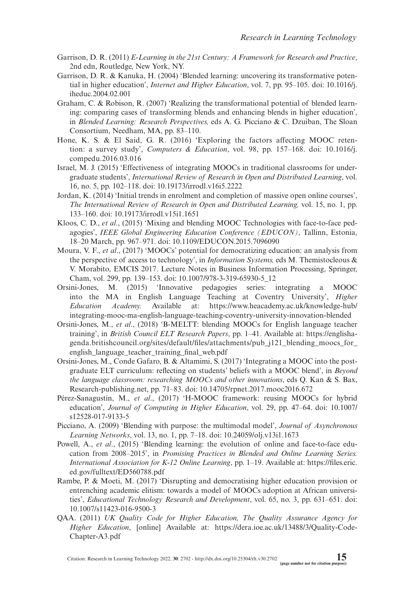- Garrison, D. R. (2011) *E-Learning in the 21st Century: A Framework for Research and Practice*, 2nd edn, Routledge, New York, NY.
- Garrison, D. R. & Kanuka, H. (2004) 'Blended learning: uncovering its transformative potential in higher education', *Internet and Higher Education*, vol. 7, pp. 95–105. [doi: 10.1016/j.](http://dx.doi.org/10.1016/j.iheduc.2004.02.001) [iheduc.2004.02.001](http://dx.doi.org/10.1016/j.iheduc.2004.02.001)
- Graham, C. & Robison, R. (2007) 'Realizing the transformational potential of blended learning: comparing cases of transforming blends and enhancing blends in higher education', in *Blended Learning: Research Perspectives,* eds A. G. Picciano & C. Dzuiban, The Sloan Consortium, Needham, MA, pp. 83–110.
- Hone, K. S. & El Said, G. R. (2016) 'Exploring the factors affecting MOOC retention: a survey study', *Computers & Education*, vol. 98, pp. 157–168. [doi: 10.1016/j.](http://dx.doi.org/10.1016/j.compedu.2016.03.016) [compedu.2016.03.016](http://dx.doi.org/10.1016/j.compedu.2016.03.016)
- Israel, M. J. (2015) 'Effectiveness of integrating MOOCs in traditional classrooms for undergraduate students', *International Review of Research in Open and Distributed Learning*, vol. 16, no. 5, pp. 102–118. [doi: 10.19173/irrodl.v16i5.2222](http://dx.doi.org/10.19173/irrodl.v16i5.2222)
- Jordan, K. (2014) 'Initial trends in enrolment and completion of massive open online courses', *The International Review of Research in Open and Distributed Learning,* vol. 15, no. 1, pp. 133–160. [doi: 10.19173/irrodl.v15i1.1651](http://dx.doi.org/10.19173/irrodl.v15i1.1651)
- Kloos, C. D., *et al*., (2015) 'Mixing and blending MOOC Technologies with face-to-face pedagogies', *IEEE Global Engineering Education Conference (EDUCON)*, Tallinn, Estonia, 18–20 March, pp. 967–971. [doi: 10.1109/EDUCON.2015.7096090](http://dx.doi.org/10.1109/EDUCON.2015.7096090)
- Moura, V. F., *et al*., (2017) 'MOOCs' potential for democratizing education: an analysis from the perspective of access to technology', in *Information Systems,* eds M. Themistocleous & V. Morabito, EMCIS 2017. Lecture Notes in Business Information Processing, Springer, Cham, vol. 299, pp. 139–153. [doi: 10.1007/978-3-319-65930-5\\_12](http://dx.doi.org/10.1007/978-3-319-65930-5_12)
- Orsini-Jones, M. (2015) 'Innovative pedagogies series: integrating a MOOC into the MA in English Language Teaching at Coventry University', *Higher Education Academy.* Available at: [https://www.heacademy.ac.uk/knowledge-hub/](https://www.heacademy.ac.uk/knowledge-hub/integrating-mooc-ma-english-language-teaching-coventry-university-innovation-blended) [integrating-mooc-ma-english-language-teaching-coventry-university-innovation-blended](https://www.heacademy.ac.uk/knowledge-hub/integrating-mooc-ma-english-language-teaching-coventry-university-innovation-blended)
- Orsini-Jones, M., *et al*., (2018) 'B-MELTT: blending MOOCs for English language teacher training', in *British Council ELT Research Papers*, pp. 1–41. Available at: [https://englisha](https://englishagenda.britishcouncil.org/sites/default/files/attachments/pub_j121_blending_moocs_for_english_language_teacher_training_final_web.pdf)[genda.britishcouncil.org/sites/default/files/attachments/pub\\_j121\\_blending\\_moocs\\_for\\_](https://englishagenda.britishcouncil.org/sites/default/files/attachments/pub_j121_blending_moocs_for_english_language_teacher_training_final_web.pdf) [english\\_language\\_teacher\\_training\\_final\\_web.pdf](https://englishagenda.britishcouncil.org/sites/default/files/attachments/pub_j121_blending_moocs_for_english_language_teacher_training_final_web.pdf)
- Orsini-Jones, M., Conde Gafaro, B. & Altamimi, S. (2017) 'Integrating a MOOC into the postgraduate ELT curriculum: reflecting on students' beliefs with a MOOC blend', in *Beyond the language classroom: researching MOOCs and other innovations*, eds Q. Kan & S. Bax, Research-publishing.net, pp. 71–83. [doi: 10.14705/rpnet.2017.mooc2016.672](http://dx.doi.org/10.14705/rpnet.2017.mooc2016.672)
- Pérez-Sanagustín, M., *et al*., (2017) 'H-MOOC framework: reusing MOOCs for hybrid education', *Journal of Computing in Higher Education*, vol. 29, pp. 47–64. [doi: 10.1007/](http://dx.doi.org/10.1007/s12528-017-9133-5) [s12528-017-9133-5](http://dx.doi.org/10.1007/s12528-017-9133-5)
- Picciano, A. (2009) 'Blending with purpose: the multimodal model', *Journal of Asynchronous Learning Networks*, vol. 13, no. 1, pp. 7–18. [doi: 10.24059/olj.v13i1.1673](http://dx.doi.org/10.24059/olj.v13i1.1673)
- Powell, A., *et al*., (2015) 'Blending learning: the evolution of online and face-to-face education from 2008–2015', in *Promising Practices in Blended and Online Learning Series. International Association for K-12 Online Learning*, pp. 1–19. Available at: [https://files.eric.](https://files.eric.ed.gov/fulltext/ED560788.pdf) [ed.gov/fulltext/ED560788.pdf](https://files.eric.ed.gov/fulltext/ED560788.pdf)
- Rambe, P. & Moeti, M. (2017) 'Disrupting and democratising higher education provision or entrenching academic elitism: towards a model of MOOCs adoption at African universities', *Educational Technology Research and Development*, vol. 65, no. 3, pp. 631–651. [doi:](http://dx.doi.org/10.1007/s11423-016-9500-3) [10.1007/s11423-016-9500-3](http://dx.doi.org/10.1007/s11423-016-9500-3)
- QAA. (2011) *UK Quality Code for Higher Education, The Quality Assurance Agency for Higher Education*, [online] Available at: [https://dera.ioe.ac.uk/13488/3/Quality-Code-](https://dera.ioe.ac.uk/13488/3/Quality-Code-Chapter-A3.pdf)[Chapter-A3.pdf](https://dera.ioe.ac.uk/13488/3/Quality-Code-Chapter-A3.pdf)